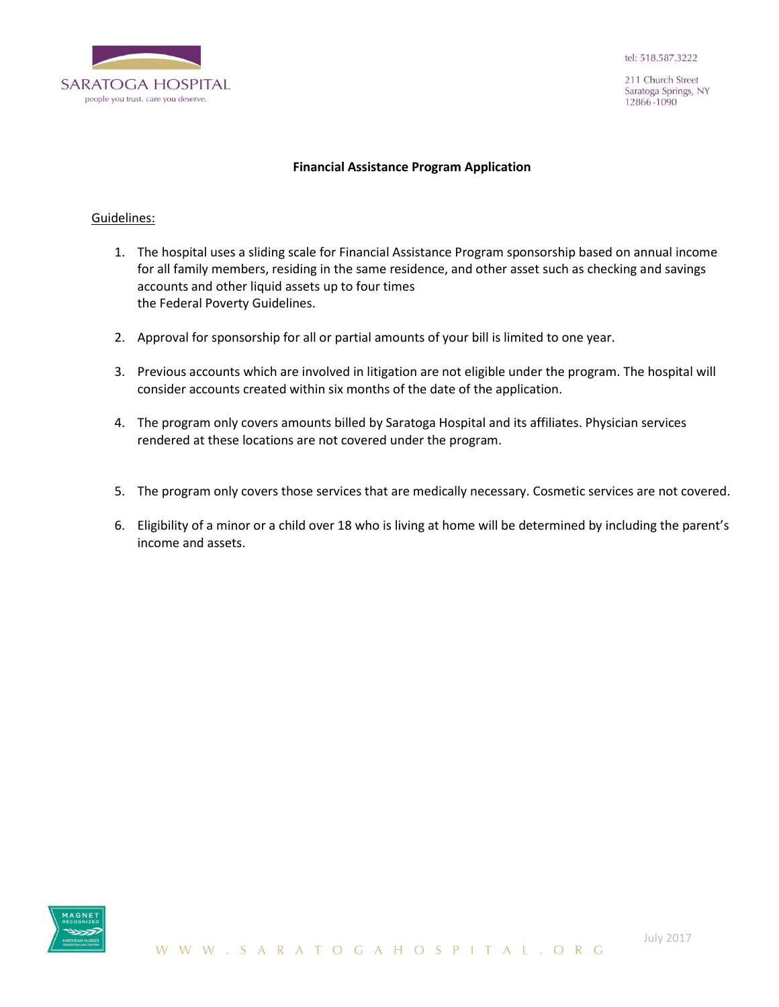

211 Church Street Saratoga Springs, NY 12866-1090

#### **Financial Assistance Program Application**

#### Guidelines:

- 1. The hospital uses a sliding scale for Financial Assistance Program sponsorship based on annual income for all family members, residing in the same residence, and other asset such as checking and savings accounts and other liquid assets up to four times the Federal Poverty Guidelines.
- 2. Approval for sponsorship for all or partial amounts of your bill is limited to one year.
- 3. Previous accounts which are involved in litigation are not eligible under the program. The hospital will consider accounts created within six months of the date of the application.
- 4. The program only covers amounts billed by Saratoga Hospital and its affiliates. Physician services rendered at these locations are not covered under the program.
- 5. The program only covers those services that are medically necessary. Cosmetic services are not covered.
- 6. Eligibility of a minor or a child over 18 who is living at home will be determined by including the parent's income and assets.

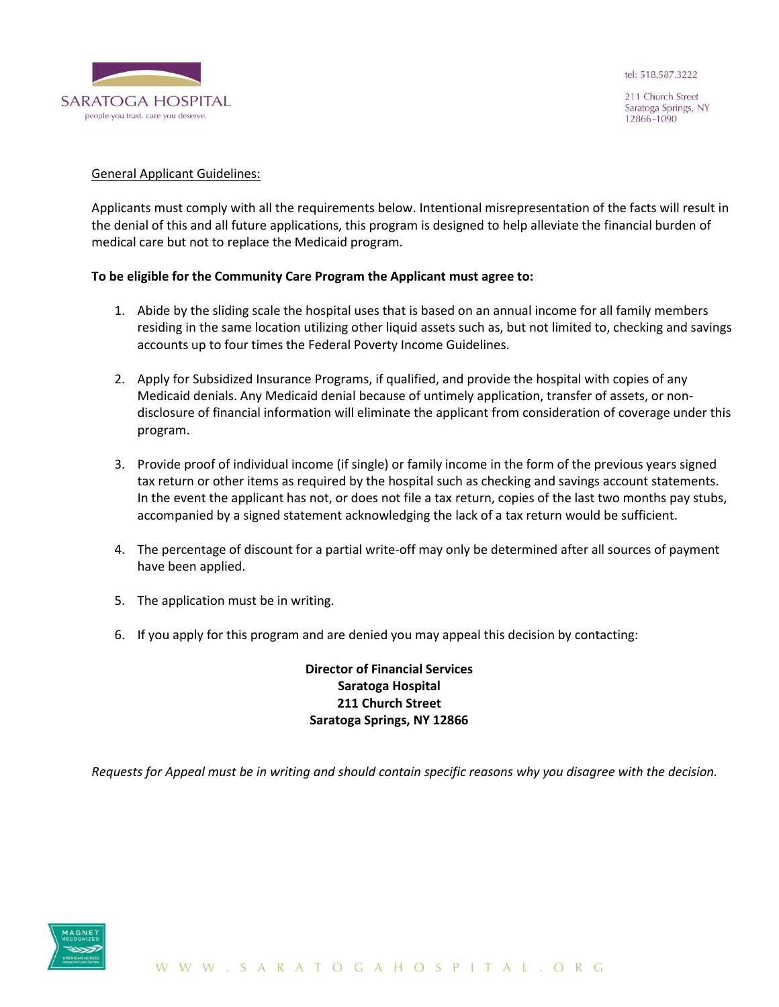

211 Church Street Saratoga Springs, NY 12866-1090

#### General Applicant Guidelines:

Applicants must comply with all the requirements below. Intentional misrepresentation of the facts will result in the denial of this and all future applications, this program is designed to help alleviate the financial burden of medical care but not to replace the Medicaid program.

### **To be eligible for the Community Care Program the Applicant must agree to:**

- 1. Abide by the sliding scale the hospital uses that is based on an annual income for all family members residing in the same location utilizing other liquid assets such as, but not limited to, checking and savings accounts up to four times the Federal Poverty Income Guidelines.
- 2. Apply for Subsidized Insurance Programs, if qualified, and provide the hospital with copies of any Medicaid denials. Any Medicaid denial because of untimely application, transfer of assets, or nondisclosure of financial information will eliminate the applicant from consideration of coverage under this program.
- 3. Provide proof of individual income (if single) or family income in the form of the previous years signed tax return or other items as required by the hospital such as checking and savings account statements. In the event the applicant has not, or does not file a tax return, copies of the last two months pay stubs, accompanied by a signed statement acknowledging the lack of a tax return would be sufficient.
- 4. The percentage of discount for a partial write-off may only be determined after all sources of payment have been applied.
- 5. The application must be in writing.
- 6. If you apply for this program and are denied you may appeal this decision by contacting:

# **Director of Financial Services Saratoga Hospital 211 Church Street Saratoga Springs, NY 12866**

*Requests for Appeal must be in writing and should contain specific reasons why you disagree with the decision.* 

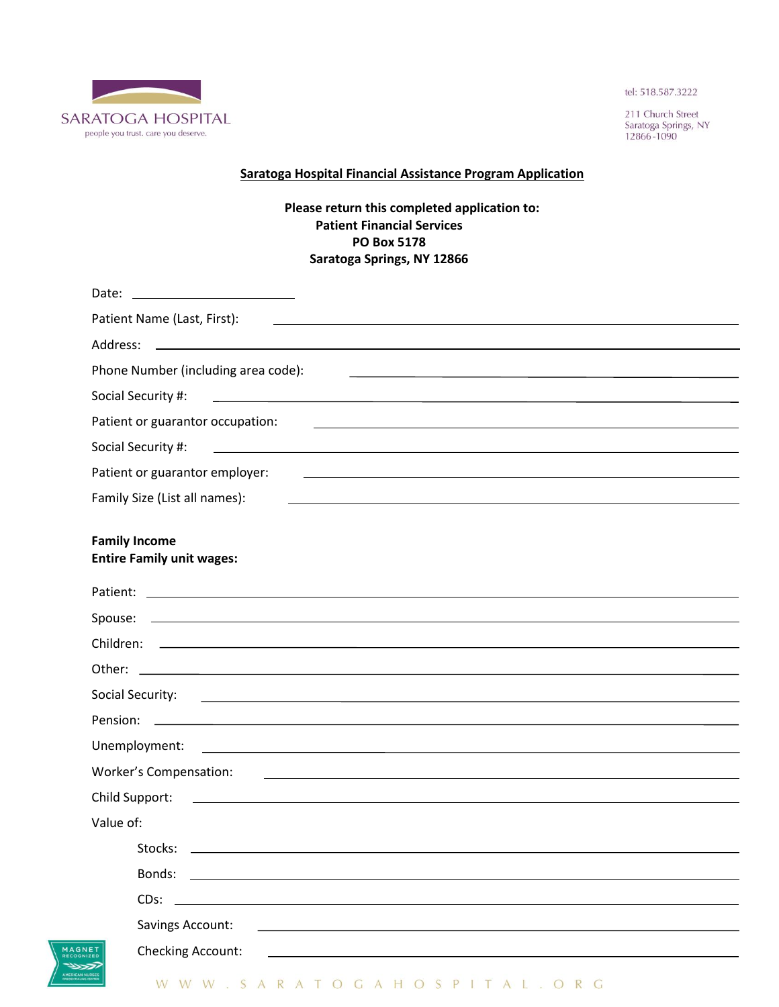

211 Church Street Saratoga Springs, NY<br>12866-1090

## **Saratoga Hospital Financial Assistance Program Application**

## **Please return this completed application to: Patient Financial Services PO Box 5178 Saratoga Springs, NY 12866**

| Date:                                                                                                                                                                                                                                                                 |
|-----------------------------------------------------------------------------------------------------------------------------------------------------------------------------------------------------------------------------------------------------------------------|
| Patient Name (Last, First):<br><u> 1989 - Andrea Stadt Britain, amerikansk politiker (</u>                                                                                                                                                                            |
| <u> 1989 - Johann Barn, mars et al. (b. 1989)</u><br>Address:                                                                                                                                                                                                         |
| Phone Number (including area code):<br><u> 1980 - Jan Alexander States (f. 1980)</u>                                                                                                                                                                                  |
| <u> 1989 - Johann Barbara, martin amerikan basal dan berasal dan berasal dalam basal dan berasal dan berasal dan</u><br>Social Security #:                                                                                                                            |
| Patient or guarantor occupation:<br><u> 1989 - Johann Stoff, amerikansk politiker (* 1908)</u>                                                                                                                                                                        |
| Social Security #:                                                                                                                                                                                                                                                    |
| Patient or guarantor employer:<br><u> 1980 - Johann Barbara, martxa alemaniar argametar a contra a contra a contra a contra a contra a contra a co</u>                                                                                                                |
| Family Size (List all names):                                                                                                                                                                                                                                         |
| <b>Family Income</b><br><b>Entire Family unit wages:</b>                                                                                                                                                                                                              |
|                                                                                                                                                                                                                                                                       |
|                                                                                                                                                                                                                                                                       |
| Children:<br><u>a sa mga bagayan ng mga bagayang ng mga bagayang ng mga bagayang ng mga bagayang ng mga bagayang ng mga bagayang ng mga bagayang ng mga bagayang ng mga bagayang ng mga bagayang ng mga bagayang ng mga bagayang ng mga bagay</u>                     |
|                                                                                                                                                                                                                                                                       |
| Social Security:<br><u> 1990 - Johann John Stoff, deutscher Stoffen und der Stoffen und der Stoffen und der Stoffen und der Stoffen un</u>                                                                                                                            |
| Pension:<br><u> 1999 - Johann Stoff, amerikansk politiker (d. 1989)</u>                                                                                                                                                                                               |
| Unemployment:                                                                                                                                                                                                                                                         |
| <b>Worker's Compensation:</b><br><u>some started and the started and the started and the started and the started and the started and the started and the started and the started and the started and the started and the started and the started and the started </u> |
| Child Support:<br>the control of the control of the control of the control of the control of the control of the control of the control of the control of the control of the control of the control of the control of the control of the control                       |
| Value of:                                                                                                                                                                                                                                                             |
| Stocks:                                                                                                                                                                                                                                                               |
| Bonds:                                                                                                                                                                                                                                                                |
| CDs:                                                                                                                                                                                                                                                                  |
| <b>Savings Account:</b>                                                                                                                                                                                                                                               |
| <b>Checking Account:</b><br>ET <sub>2ED</sub>                                                                                                                                                                                                                         |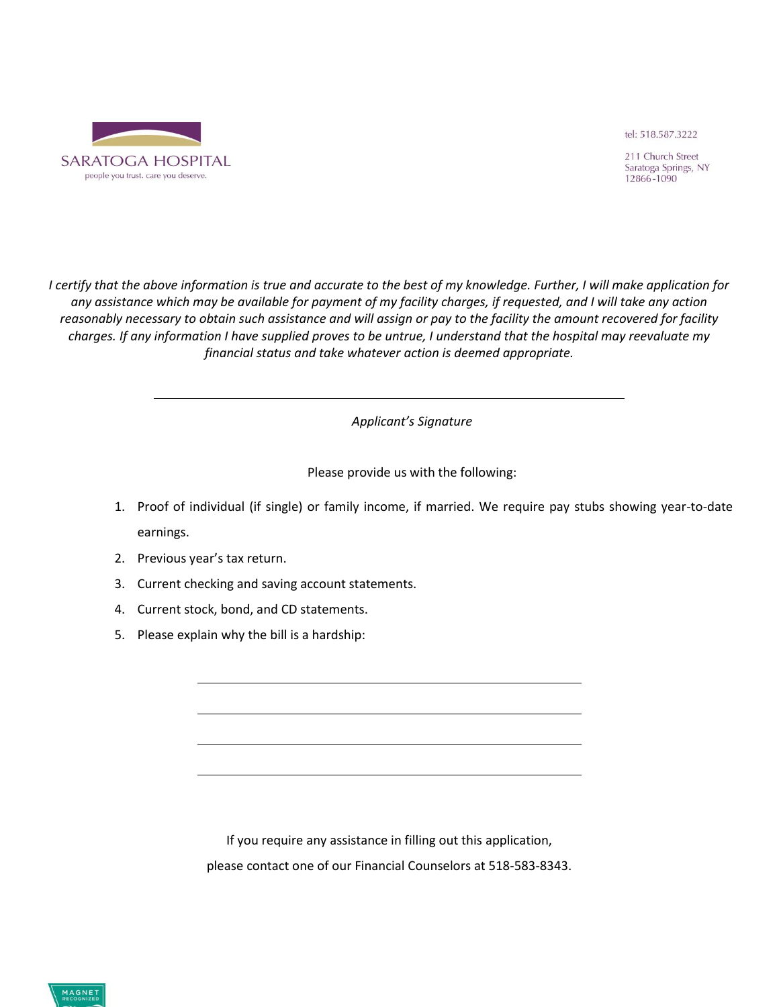

211 Church Street Saratoga Springs, NY 12866-1090

*I certify that the above information is true and accurate to the best of my knowledge. Further, I will make application for any assistance which may be available for payment of my facility charges, if requested, and I will take any action reasonably necessary to obtain such assistance and will assign or pay to the facility the amount recovered for facility charges. If any information I have supplied proves to be untrue, I understand that the hospital may reevaluate my financial status and take whatever action is deemed appropriate.*

*Applicant's Signature*

Please provide us with the following:

- 1. Proof of individual (if single) or family income, if married. We require pay stubs showing year-to-date earnings.
- 2. Previous year's tax return.
- 3. Current checking and saving account statements.
- 4. Current stock, bond, and CD statements.
- 5. Please explain why the bill is a hardship:

If you require any assistance in filling out this application, please contact one of our Financial Counselors at 518-583-8343.